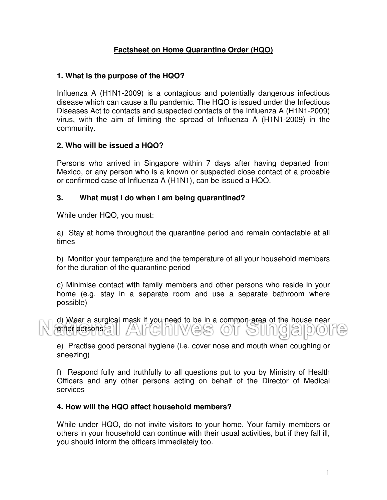# **Factsheet on Home Quarantine Order (HQO)**

#### **1. What is the purpose of the HQO?**

Influenza A (H1N1-2009) is a contagious and potentially dangerous infectious disease which can cause a flu pandemic. The HQO is issued under the Infectious Diseases Act to contacts and suspected contacts of the Influenza A (H1N1-2009) virus, with the aim of limiting the spread of Influenza A (H1N1-2009) in the community.

#### **2. Who will be issued a HQO?**

Persons who arrived in Singapore within 7 days after having departed from Mexico, or any person who is a known or suspected close contact of a probable or confirmed case of Influenza A (H1N1), can be issued a HQO.

#### **3. What must I do when I am being quarantined?**

While under HQO, you must:

a) Stay at home throughout the quarantine period and remain contactable at all times

b) Monitor your temperature and the temperature of all your household members for the duration of the quarantine period

c) Minimise contact with family members and other persons who reside in your home (e.g. stay in a separate room and use a separate bathroom where possible)

d) Wear a surgical mask if you need to be in a common area of the house near other persons

e) Practise good personal hygiene (i.e. cover nose and mouth when coughing or sneezing)

f) Respond fully and truthfully to all questions put to you by Ministry of Health Officers and any other persons acting on behalf of the Director of Medical services

#### **4. How will the HQO affect household members?**

While under HQO, do not invite visitors to your home. Your family members or others in your household can continue with their usual activities, but if they fall ill, you should inform the officers immediately too.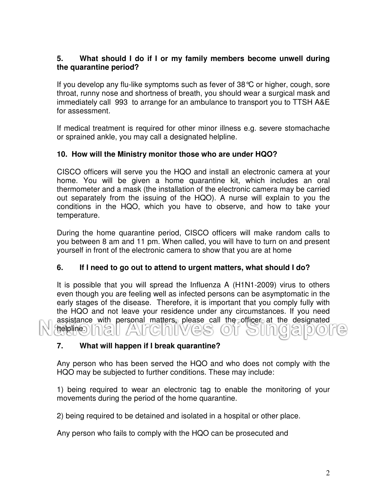## **5. What should I do if I or my family members become unwell during the quarantine period?**

If you develop any flu-like symptoms such as fever of 38°C or higher, cough, sore throat, runny nose and shortness of breath, you should wear a surgical mask and immediately call 993 to arrange for an ambulance to transport you to TTSH A&E for assessment.

If medical treatment is required for other minor illness e.g. severe stomachache or sprained ankle, you may call a designated helpline.

## **10. How will the Ministry monitor those who are under HQO?**

CISCO officers will serve you the HQO and install an electronic camera at your home. You will be given a home quarantine kit, which includes an oral thermometer and a mask (the installation of the electronic camera may be carried out separately from the issuing of the HQO). A nurse will explain to you the conditions in the HQO, which you have to observe, and how to take your temperature.

During the home quarantine period, CISCO officers will make random calls to you between 8 am and 11 pm. When called, you will have to turn on and present yourself in front of the electronic camera to show that you are at home

## **6. If I need to go out to attend to urgent matters, what should I do?**

It is possible that you will spread the Influenza A (H1N1-2009) virus to others even though you are feeling well as infected persons can be asymptomatic in the early stages of the disease. Therefore, it is important that you comply fully with the HQO and not leave your residence under any circumstances. If you need assistance with personal matters, please call the officer at the designated helpline.

## **7. What will happen if I break quarantine?**

Any person who has been served the HQO and who does not comply with the HQO may be subjected to further conditions. These may include:

1) being required to wear an electronic tag to enable the monitoring of your movements during the period of the home quarantine.

2) being required to be detained and isolated in a hospital or other place.

Any person who fails to comply with the HQO can be prosecuted and